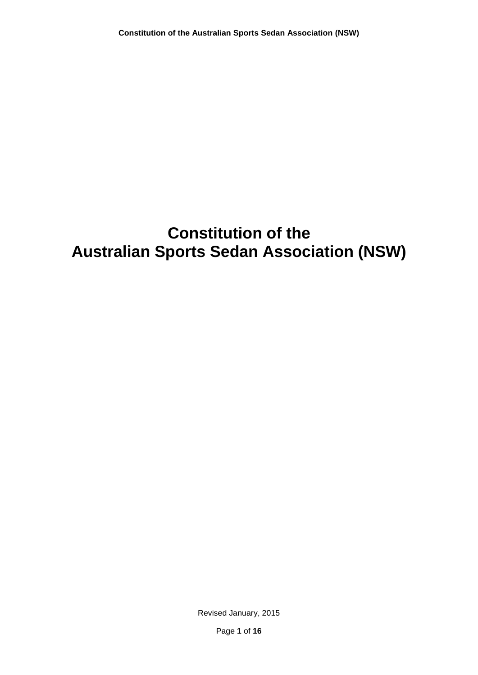# **Constitution of the Australian Sports Sedan Association (NSW)**

Revised January, 2015

Page **1** of **16**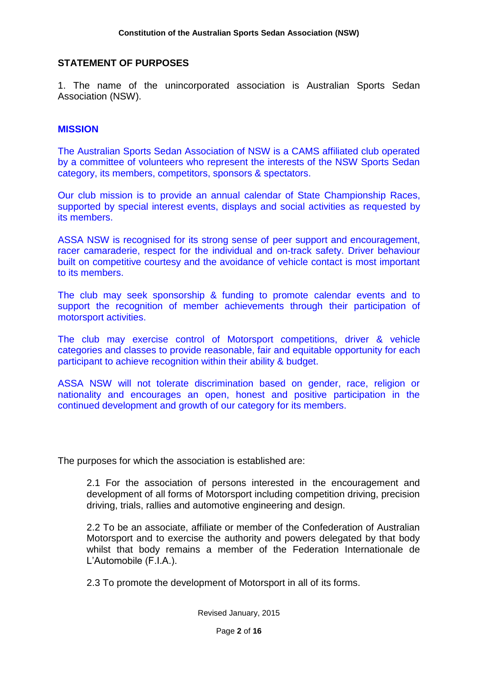# **STATEMENT OF PURPOSES**

1. The name of the unincorporated association is Australian Sports Sedan Association (NSW).

## **MISSION**

The Australian Sports Sedan Association of NSW is a CAMS affiliated club operated by a committee of volunteers who represent the interests of the NSW Sports Sedan category, its members, competitors, sponsors & spectators.

Our club mission is to provide an annual calendar of State Championship Races, supported by special interest events, displays and social activities as requested by its members.

ASSA NSW is recognised for its strong sense of peer support and encouragement, racer camaraderie, respect for the individual and on-track safety. Driver behaviour built on competitive courtesy and the avoidance of vehicle contact is most important to its members.

The club may seek sponsorship & funding to promote calendar events and to support the recognition of member achievements through their participation of motorsport activities.

The club may exercise control of Motorsport competitions, driver & vehicle categories and classes to provide reasonable, fair and equitable opportunity for each participant to achieve recognition within their ability & budget.

ASSA NSW will not tolerate discrimination based on gender, race, religion or nationality and encourages an open, honest and positive participation in the continued development and growth of our category for its members.

The purposes for which the association is established are:

2.1 For the association of persons interested in the encouragement and development of all forms of Motorsport including competition driving, precision driving, trials, rallies and automotive engineering and design.

2.2 To be an associate, affiliate or member of the Confederation of Australian Motorsport and to exercise the authority and powers delegated by that body whilst that body remains a member of the Federation Internationale de L'Automobile (F.I.A.).

2.3 To promote the development of Motorsport in all of its forms.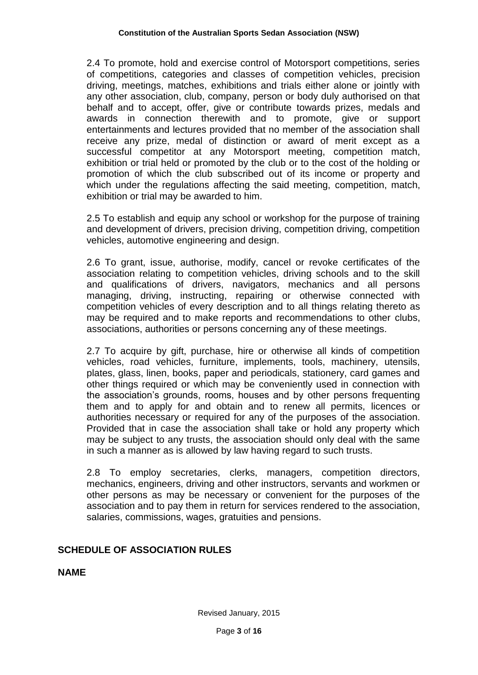2.4 To promote, hold and exercise control of Motorsport competitions, series of competitions, categories and classes of competition vehicles, precision driving, meetings, matches, exhibitions and trials either alone or jointly with any other association, club, company, person or body duly authorised on that behalf and to accept, offer, give or contribute towards prizes, medals and awards in connection therewith and to promote, give or support entertainments and lectures provided that no member of the association shall receive any prize, medal of distinction or award of merit except as a successful competitor at any Motorsport meeting, competition match, exhibition or trial held or promoted by the club or to the cost of the holding or promotion of which the club subscribed out of its income or property and which under the regulations affecting the said meeting, competition, match, exhibition or trial may be awarded to him.

2.5 To establish and equip any school or workshop for the purpose of training and development of drivers, precision driving, competition driving, competition vehicles, automotive engineering and design.

2.6 To grant, issue, authorise, modify, cancel or revoke certificates of the association relating to competition vehicles, driving schools and to the skill and qualifications of drivers, navigators, mechanics and all persons managing, driving, instructing, repairing or otherwise connected with competition vehicles of every description and to all things relating thereto as may be required and to make reports and recommendations to other clubs, associations, authorities or persons concerning any of these meetings.

2.7 To acquire by gift, purchase, hire or otherwise all kinds of competition vehicles, road vehicles, furniture, implements, tools, machinery, utensils, plates, glass, linen, books, paper and periodicals, stationery, card games and other things required or which may be conveniently used in connection with the association's grounds, rooms, houses and by other persons frequenting them and to apply for and obtain and to renew all permits, licences or authorities necessary or required for any of the purposes of the association. Provided that in case the association shall take or hold any property which may be subject to any trusts, the association should only deal with the same in such a manner as is allowed by law having regard to such trusts.

2.8 To employ secretaries, clerks, managers, competition directors, mechanics, engineers, driving and other instructors, servants and workmen or other persons as may be necessary or convenient for the purposes of the association and to pay them in return for services rendered to the association, salaries, commissions, wages, gratuities and pensions.

# **SCHEDULE OF ASSOCIATION RULES**

## **NAME**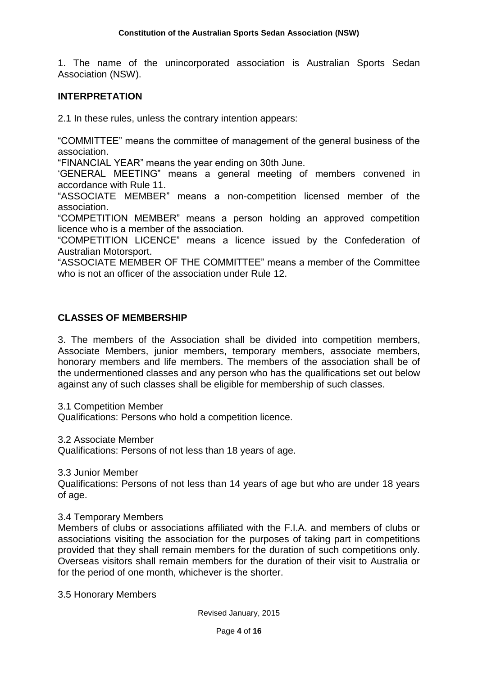1. The name of the unincorporated association is Australian Sports Sedan Association (NSW).

## **INTERPRETATION**

2.1 In these rules, unless the contrary intention appears:

"COMMITTEE" means the committee of management of the general business of the association.

"FINANCIAL YEAR" means the year ending on 30th June.

'GENERAL MEETING" means a general meeting of members convened in accordance with Rule 11.

"ASSOCIATE MEMBER" means a non-competition licensed member of the association.

"COMPETITION MEMBER" means a person holding an approved competition licence who is a member of the association.

"COMPETITION LICENCE" means a licence issued by the Confederation of Australian Motorsport.

"ASSOCIATE MEMBER OF THE COMMITTEE" means a member of the Committee who is not an officer of the association under Rule 12.

## **CLASSES OF MEMBERSHIP**

3. The members of the Association shall be divided into competition members, Associate Members, junior members, temporary members, associate members, honorary members and life members. The members of the association shall be of the undermentioned classes and any person who has the qualifications set out below against any of such classes shall be eligible for membership of such classes.

3.1 Competition Member

Qualifications: Persons who hold a competition licence.

3.2 Associate Member

Qualifications: Persons of not less than 18 years of age.

3.3 Junior Member

Qualifications: Persons of not less than 14 years of age but who are under 18 years of age.

#### 3.4 Temporary Members

Members of clubs or associations affiliated with the F.I.A. and members of clubs or associations visiting the association for the purposes of taking part in competitions provided that they shall remain members for the duration of such competitions only. Overseas visitors shall remain members for the duration of their visit to Australia or for the period of one month, whichever is the shorter.

3.5 Honorary Members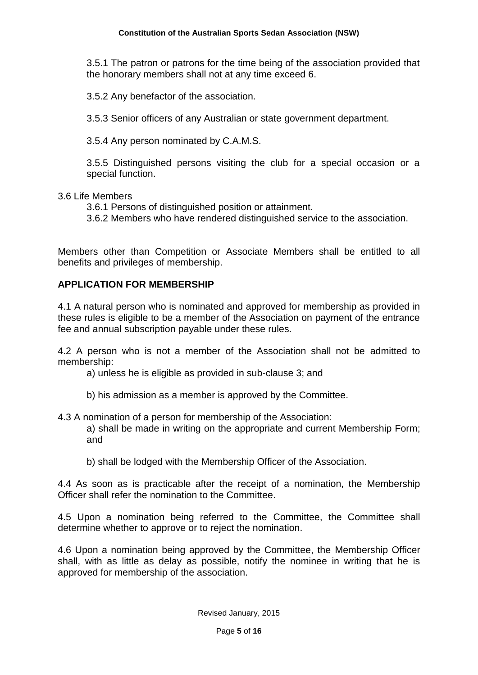3.5.1 The patron or patrons for the time being of the association provided that the honorary members shall not at any time exceed 6.

3.5.2 Any benefactor of the association.

3.5.3 Senior officers of any Australian or state government department.

3.5.4 Any person nominated by C.A.M.S.

3.5.5 Distinguished persons visiting the club for a special occasion or a special function.

3.6 Life Members

3.6.1 Persons of distinguished position or attainment.

3.6.2 Members who have rendered distinguished service to the association.

Members other than Competition or Associate Members shall be entitled to all benefits and privileges of membership.

# **APPLICATION FOR MEMBERSHIP**

4.1 A natural person who is nominated and approved for membership as provided in these rules is eligible to be a member of the Association on payment of the entrance fee and annual subscription payable under these rules.

4.2 A person who is not a member of the Association shall not be admitted to membership:

a) unless he is eligible as provided in sub-clause 3; and

b) his admission as a member is approved by the Committee.

4.3 A nomination of a person for membership of the Association: a) shall be made in writing on the appropriate and current Membership Form; and

b) shall be lodged with the Membership Officer of the Association.

4.4 As soon as is practicable after the receipt of a nomination, the Membership Officer shall refer the nomination to the Committee.

4.5 Upon a nomination being referred to the Committee, the Committee shall determine whether to approve or to reject the nomination.

4.6 Upon a nomination being approved by the Committee, the Membership Officer shall, with as little as delay as possible, notify the nominee in writing that he is approved for membership of the association.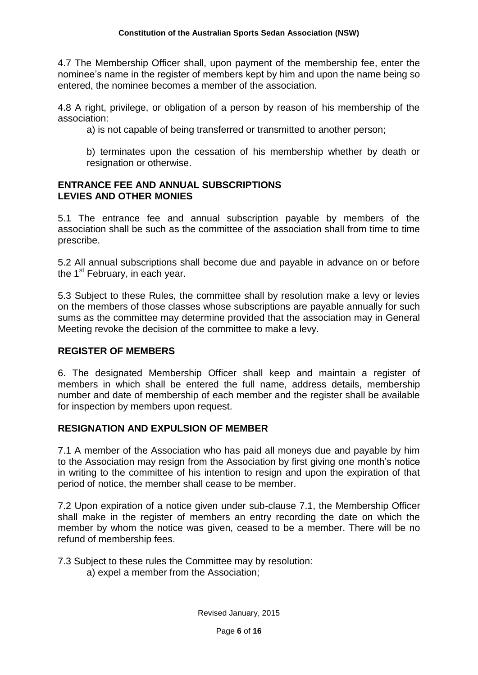4.7 The Membership Officer shall, upon payment of the membership fee, enter the nominee's name in the register of members kept by him and upon the name being so entered, the nominee becomes a member of the association.

4.8 A right, privilege, or obligation of a person by reason of his membership of the association:

a) is not capable of being transferred or transmitted to another person;

b) terminates upon the cessation of his membership whether by death or resignation or otherwise.

# **ENTRANCE FEE AND ANNUAL SUBSCRIPTIONS LEVIES AND OTHER MONIES**

5.1 The entrance fee and annual subscription payable by members of the association shall be such as the committee of the association shall from time to time prescribe.

5.2 All annual subscriptions shall become due and payable in advance on or before the  $1<sup>st</sup>$  February, in each year.

5.3 Subject to these Rules, the committee shall by resolution make a levy or levies on the members of those classes whose subscriptions are payable annually for such sums as the committee may determine provided that the association may in General Meeting revoke the decision of the committee to make a levy.

# **REGISTER OF MEMBERS**

6. The designated Membership Officer shall keep and maintain a register of members in which shall be entered the full name, address details, membership number and date of membership of each member and the register shall be available for inspection by members upon request.

## **RESIGNATION AND EXPULSION OF MEMBER**

7.1 A member of the Association who has paid all moneys due and payable by him to the Association may resign from the Association by first giving one month's notice in writing to the committee of his intention to resign and upon the expiration of that period of notice, the member shall cease to be member.

7.2 Upon expiration of a notice given under sub-clause 7.1, the Membership Officer shall make in the register of members an entry recording the date on which the member by whom the notice was given, ceased to be a member. There will be no refund of membership fees.

7.3 Subject to these rules the Committee may by resolution:

a) expel a member from the Association;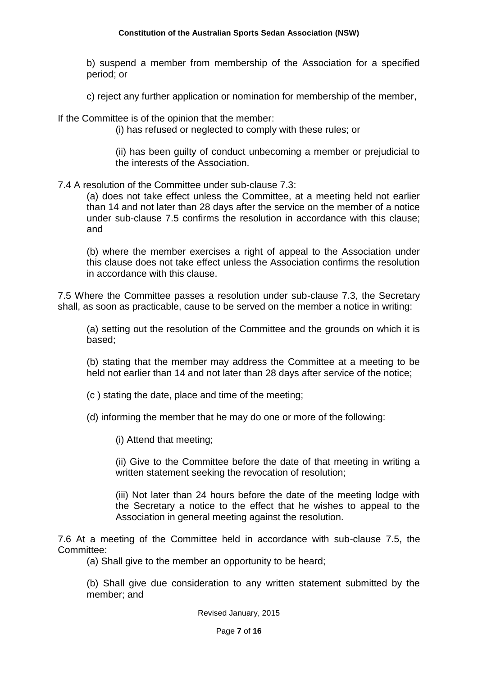b) suspend a member from membership of the Association for a specified period; or

c) reject any further application or nomination for membership of the member,

If the Committee is of the opinion that the member:

(i) has refused or neglected to comply with these rules; or

(ii) has been guilty of conduct unbecoming a member or prejudicial to the interests of the Association.

7.4 A resolution of the Committee under sub-clause 7.3:

(a) does not take effect unless the Committee, at a meeting held not earlier than 14 and not later than 28 days after the service on the member of a notice under sub-clause 7.5 confirms the resolution in accordance with this clause; and

(b) where the member exercises a right of appeal to the Association under this clause does not take effect unless the Association confirms the resolution in accordance with this clause.

7.5 Where the Committee passes a resolution under sub-clause 7.3, the Secretary shall, as soon as practicable, cause to be served on the member a notice in writing:

(a) setting out the resolution of the Committee and the grounds on which it is based;

(b) stating that the member may address the Committee at a meeting to be held not earlier than 14 and not later than 28 days after service of the notice;

(c ) stating the date, place and time of the meeting;

(d) informing the member that he may do one or more of the following:

(i) Attend that meeting;

(ii) Give to the Committee before the date of that meeting in writing a written statement seeking the revocation of resolution;

(iii) Not later than 24 hours before the date of the meeting lodge with the Secretary a notice to the effect that he wishes to appeal to the Association in general meeting against the resolution.

7.6 At a meeting of the Committee held in accordance with sub-clause 7.5, the Committee:

(a) Shall give to the member an opportunity to be heard;

(b) Shall give due consideration to any written statement submitted by the member; and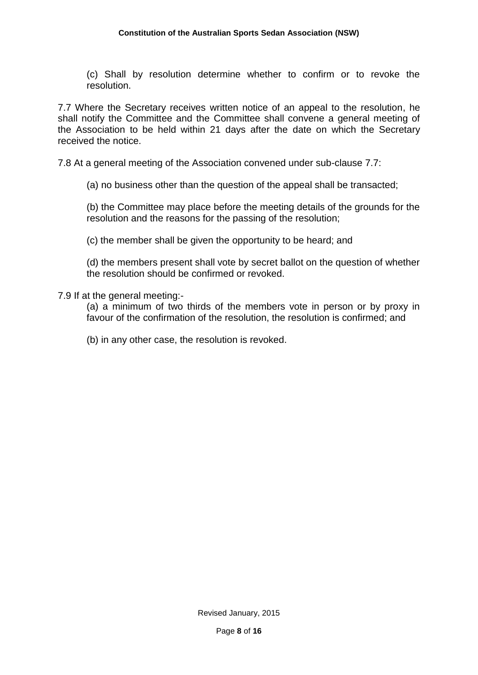(c) Shall by resolution determine whether to confirm or to revoke the resolution.

7.7 Where the Secretary receives written notice of an appeal to the resolution, he shall notify the Committee and the Committee shall convene a general meeting of the Association to be held within 21 days after the date on which the Secretary received the notice.

7.8 At a general meeting of the Association convened under sub-clause 7.7:

(a) no business other than the question of the appeal shall be transacted;

(b) the Committee may place before the meeting details of the grounds for the resolution and the reasons for the passing of the resolution;

(c) the member shall be given the opportunity to be heard; and

(d) the members present shall vote by secret ballot on the question of whether the resolution should be confirmed or revoked.

7.9 If at the general meeting:-

(a) a minimum of two thirds of the members vote in person or by proxy in favour of the confirmation of the resolution, the resolution is confirmed; and

(b) in any other case, the resolution is revoked.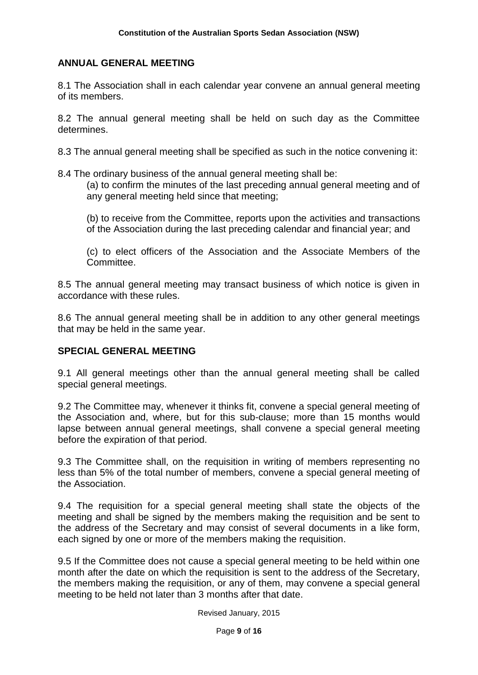# **ANNUAL GENERAL MEETING**

8.1 The Association shall in each calendar year convene an annual general meeting of its members.

8.2 The annual general meeting shall be held on such day as the Committee determines.

8.3 The annual general meeting shall be specified as such in the notice convening it:

8.4 The ordinary business of the annual general meeting shall be:

(a) to confirm the minutes of the last preceding annual general meeting and of any general meeting held since that meeting;

(b) to receive from the Committee, reports upon the activities and transactions of the Association during the last preceding calendar and financial year; and

(c) to elect officers of the Association and the Associate Members of the Committee.

8.5 The annual general meeting may transact business of which notice is given in accordance with these rules.

8.6 The annual general meeting shall be in addition to any other general meetings that may be held in the same year.

## **SPECIAL GENERAL MEETING**

9.1 All general meetings other than the annual general meeting shall be called special general meetings.

9.2 The Committee may, whenever it thinks fit, convene a special general meeting of the Association and, where, but for this sub-clause; more than 15 months would lapse between annual general meetings, shall convene a special general meeting before the expiration of that period.

9.3 The Committee shall, on the requisition in writing of members representing no less than 5% of the total number of members, convene a special general meeting of the Association.

9.4 The requisition for a special general meeting shall state the objects of the meeting and shall be signed by the members making the requisition and be sent to the address of the Secretary and may consist of several documents in a like form, each signed by one or more of the members making the requisition.

9.5 If the Committee does not cause a special general meeting to be held within one month after the date on which the requisition is sent to the address of the Secretary, the members making the requisition, or any of them, may convene a special general meeting to be held not later than 3 months after that date.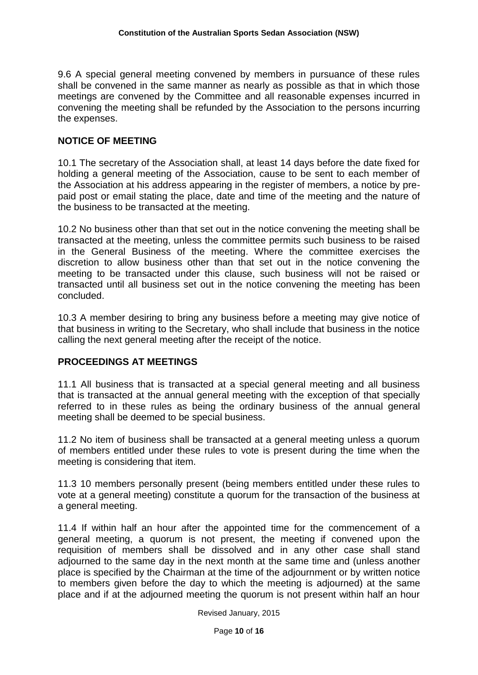9.6 A special general meeting convened by members in pursuance of these rules shall be convened in the same manner as nearly as possible as that in which those meetings are convened by the Committee and all reasonable expenses incurred in convening the meeting shall be refunded by the Association to the persons incurring the expenses.

# **NOTICE OF MEETING**

10.1 The secretary of the Association shall, at least 14 days before the date fixed for holding a general meeting of the Association, cause to be sent to each member of the Association at his address appearing in the register of members, a notice by prepaid post or email stating the place, date and time of the meeting and the nature of the business to be transacted at the meeting.

10.2 No business other than that set out in the notice convening the meeting shall be transacted at the meeting, unless the committee permits such business to be raised in the General Business of the meeting. Where the committee exercises the discretion to allow business other than that set out in the notice convening the meeting to be transacted under this clause, such business will not be raised or transacted until all business set out in the notice convening the meeting has been concluded.

10.3 A member desiring to bring any business before a meeting may give notice of that business in writing to the Secretary, who shall include that business in the notice calling the next general meeting after the receipt of the notice.

# **PROCEEDINGS AT MEETINGS**

11.1 All business that is transacted at a special general meeting and all business that is transacted at the annual general meeting with the exception of that specially referred to in these rules as being the ordinary business of the annual general meeting shall be deemed to be special business.

11.2 No item of business shall be transacted at a general meeting unless a quorum of members entitled under these rules to vote is present during the time when the meeting is considering that item.

11.3 10 members personally present (being members entitled under these rules to vote at a general meeting) constitute a quorum for the transaction of the business at a general meeting.

11.4 If within half an hour after the appointed time for the commencement of a general meeting, a quorum is not present, the meeting if convened upon the requisition of members shall be dissolved and in any other case shall stand adjourned to the same day in the next month at the same time and (unless another place is specified by the Chairman at the time of the adjournment or by written notice to members given before the day to which the meeting is adjourned) at the same place and if at the adjourned meeting the quorum is not present within half an hour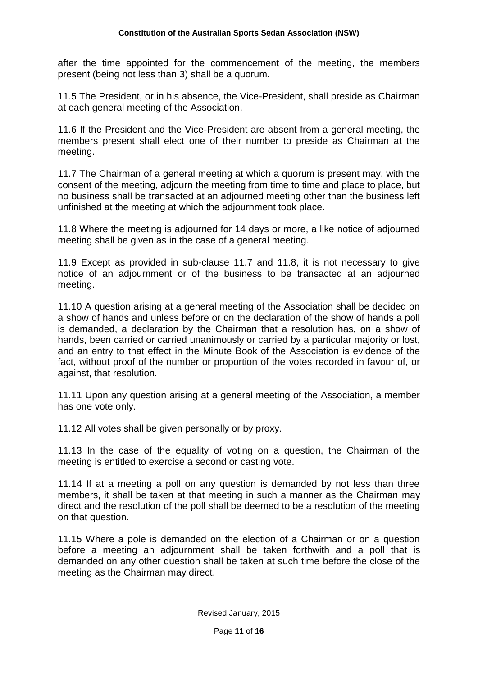after the time appointed for the commencement of the meeting, the members present (being not less than 3) shall be a quorum.

11.5 The President, or in his absence, the Vice-President, shall preside as Chairman at each general meeting of the Association.

11.6 If the President and the Vice-President are absent from a general meeting, the members present shall elect one of their number to preside as Chairman at the meeting.

11.7 The Chairman of a general meeting at which a quorum is present may, with the consent of the meeting, adjourn the meeting from time to time and place to place, but no business shall be transacted at an adjourned meeting other than the business left unfinished at the meeting at which the adjournment took place.

11.8 Where the meeting is adjourned for 14 days or more, a like notice of adjourned meeting shall be given as in the case of a general meeting.

11.9 Except as provided in sub-clause 11.7 and 11.8, it is not necessary to give notice of an adjournment or of the business to be transacted at an adjourned meeting.

11.10 A question arising at a general meeting of the Association shall be decided on a show of hands and unless before or on the declaration of the show of hands a poll is demanded, a declaration by the Chairman that a resolution has, on a show of hands, been carried or carried unanimously or carried by a particular majority or lost, and an entry to that effect in the Minute Book of the Association is evidence of the fact, without proof of the number or proportion of the votes recorded in favour of, or against, that resolution.

11.11 Upon any question arising at a general meeting of the Association, a member has one vote only.

11.12 All votes shall be given personally or by proxy.

11.13 In the case of the equality of voting on a question, the Chairman of the meeting is entitled to exercise a second or casting vote.

11.14 If at a meeting a poll on any question is demanded by not less than three members, it shall be taken at that meeting in such a manner as the Chairman may direct and the resolution of the poll shall be deemed to be a resolution of the meeting on that question.

11.15 Where a pole is demanded on the election of a Chairman or on a question before a meeting an adjournment shall be taken forthwith and a poll that is demanded on any other question shall be taken at such time before the close of the meeting as the Chairman may direct.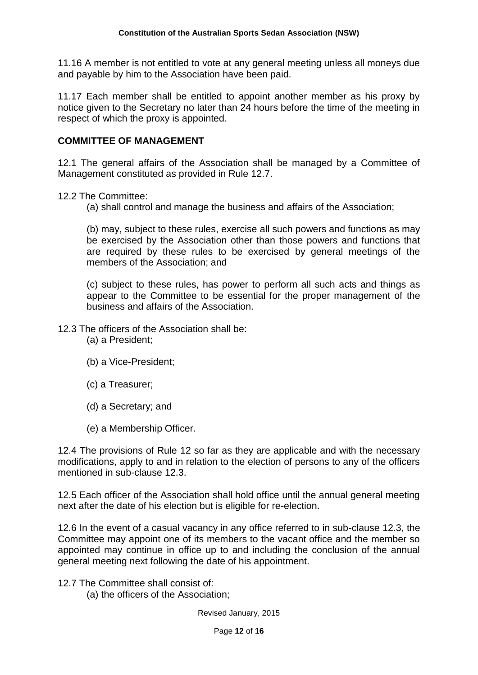11.16 A member is not entitled to vote at any general meeting unless all moneys due and payable by him to the Association have been paid.

11.17 Each member shall be entitled to appoint another member as his proxy by notice given to the Secretary no later than 24 hours before the time of the meeting in respect of which the proxy is appointed.

## **COMMITTEE OF MANAGEMENT**

12.1 The general affairs of the Association shall be managed by a Committee of Management constituted as provided in Rule 12.7.

12.2 The Committee:

(a) shall control and manage the business and affairs of the Association;

(b) may, subject to these rules, exercise all such powers and functions as may be exercised by the Association other than those powers and functions that are required by these rules to be exercised by general meetings of the members of the Association; and

(c) subject to these rules, has power to perform all such acts and things as appear to the Committee to be essential for the proper management of the business and affairs of the Association.

12.3 The officers of the Association shall be:

- (a) a President;
- (b) a Vice-President;
- (c) a Treasurer;
- (d) a Secretary; and
- (e) a Membership Officer.

12.4 The provisions of Rule 12 so far as they are applicable and with the necessary modifications, apply to and in relation to the election of persons to any of the officers mentioned in sub-clause 12.3.

12.5 Each officer of the Association shall hold office until the annual general meeting next after the date of his election but is eligible for re-election.

12.6 In the event of a casual vacancy in any office referred to in sub-clause 12.3, the Committee may appoint one of its members to the vacant office and the member so appointed may continue in office up to and including the conclusion of the annual general meeting next following the date of his appointment.

12.7 The Committee shall consist of:

(a) the officers of the Association;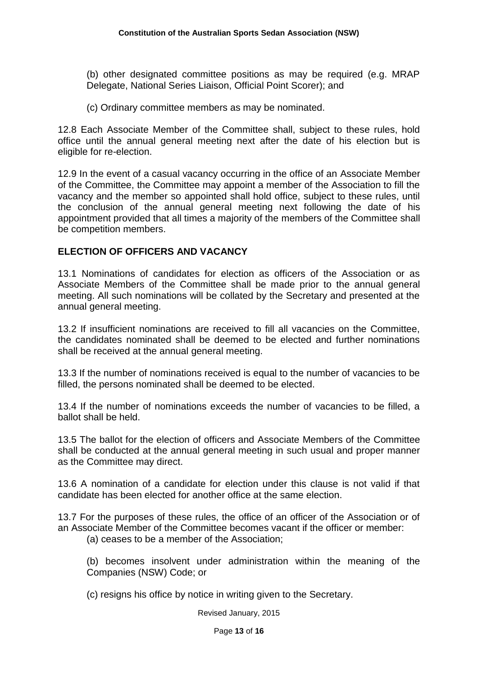(b) other designated committee positions as may be required (e.g. MRAP Delegate, National Series Liaison, Official Point Scorer); and

(c) Ordinary committee members as may be nominated.

12.8 Each Associate Member of the Committee shall, subject to these rules, hold office until the annual general meeting next after the date of his election but is eligible for re-election.

12.9 In the event of a casual vacancy occurring in the office of an Associate Member of the Committee, the Committee may appoint a member of the Association to fill the vacancy and the member so appointed shall hold office, subject to these rules, until the conclusion of the annual general meeting next following the date of his appointment provided that all times a majority of the members of the Committee shall be competition members.

## **ELECTION OF OFFICERS AND VACANCY**

13.1 Nominations of candidates for election as officers of the Association or as Associate Members of the Committee shall be made prior to the annual general meeting. All such nominations will be collated by the Secretary and presented at the annual general meeting.

13.2 If insufficient nominations are received to fill all vacancies on the Committee, the candidates nominated shall be deemed to be elected and further nominations shall be received at the annual general meeting.

13.3 If the number of nominations received is equal to the number of vacancies to be filled, the persons nominated shall be deemed to be elected.

13.4 If the number of nominations exceeds the number of vacancies to be filled, a ballot shall be held.

13.5 The ballot for the election of officers and Associate Members of the Committee shall be conducted at the annual general meeting in such usual and proper manner as the Committee may direct.

13.6 A nomination of a candidate for election under this clause is not valid if that candidate has been elected for another office at the same election.

13.7 For the purposes of these rules, the office of an officer of the Association or of an Associate Member of the Committee becomes vacant if the officer or member:

- (a) ceases to be a member of the Association;
- (b) becomes insolvent under administration within the meaning of the Companies (NSW) Code; or
- (c) resigns his office by notice in writing given to the Secretary.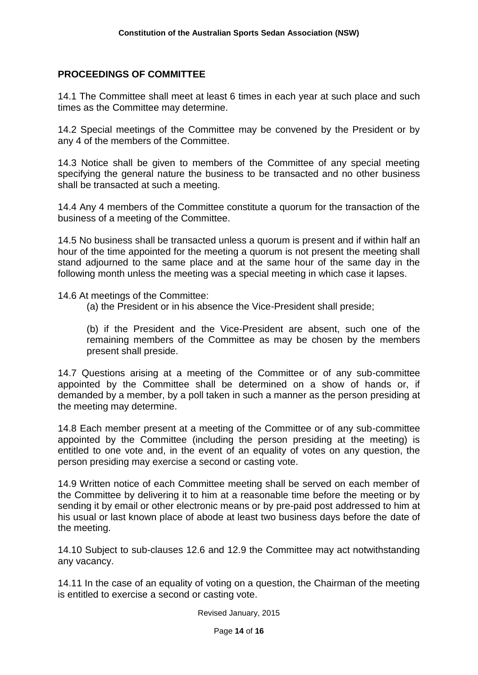## **PROCEEDINGS OF COMMITTEE**

14.1 The Committee shall meet at least 6 times in each year at such place and such times as the Committee may determine.

14.2 Special meetings of the Committee may be convened by the President or by any 4 of the members of the Committee.

14.3 Notice shall be given to members of the Committee of any special meeting specifying the general nature the business to be transacted and no other business shall be transacted at such a meeting.

14.4 Any 4 members of the Committee constitute a quorum for the transaction of the business of a meeting of the Committee.

14.5 No business shall be transacted unless a quorum is present and if within half an hour of the time appointed for the meeting a quorum is not present the meeting shall stand adjourned to the same place and at the same hour of the same day in the following month unless the meeting was a special meeting in which case it lapses.

14.6 At meetings of the Committee:

(a) the President or in his absence the Vice-President shall preside;

(b) if the President and the Vice-President are absent, such one of the remaining members of the Committee as may be chosen by the members present shall preside.

14.7 Questions arising at a meeting of the Committee or of any sub-committee appointed by the Committee shall be determined on a show of hands or, if demanded by a member, by a poll taken in such a manner as the person presiding at the meeting may determine.

14.8 Each member present at a meeting of the Committee or of any sub-committee appointed by the Committee (including the person presiding at the meeting) is entitled to one vote and, in the event of an equality of votes on any question, the person presiding may exercise a second or casting vote.

14.9 Written notice of each Committee meeting shall be served on each member of the Committee by delivering it to him at a reasonable time before the meeting or by sending it by email or other electronic means or by pre-paid post addressed to him at his usual or last known place of abode at least two business days before the date of the meeting.

14.10 Subject to sub-clauses 12.6 and 12.9 the Committee may act notwithstanding any vacancy.

14.11 In the case of an equality of voting on a question, the Chairman of the meeting is entitled to exercise a second or casting vote.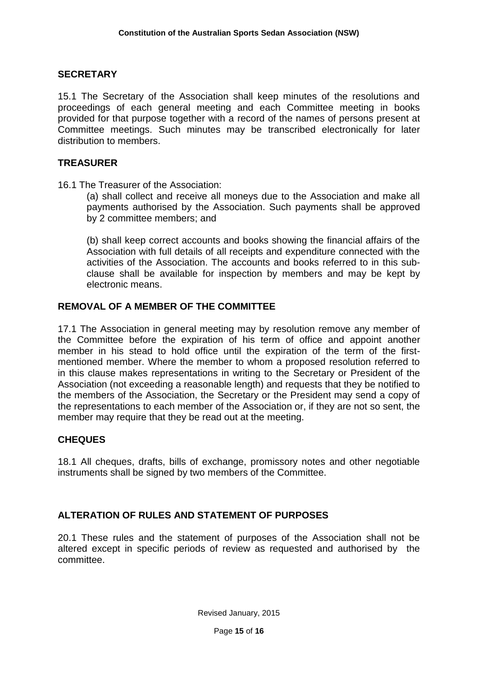## **SECRETARY**

15.1 The Secretary of the Association shall keep minutes of the resolutions and proceedings of each general meeting and each Committee meeting in books provided for that purpose together with a record of the names of persons present at Committee meetings. Such minutes may be transcribed electronically for later distribution to members.

# **TREASURER**

16.1 The Treasurer of the Association:

(a) shall collect and receive all moneys due to the Association and make all payments authorised by the Association. Such payments shall be approved by 2 committee members; and

(b) shall keep correct accounts and books showing the financial affairs of the Association with full details of all receipts and expenditure connected with the activities of the Association. The accounts and books referred to in this subclause shall be available for inspection by members and may be kept by electronic means.

## **REMOVAL OF A MEMBER OF THE COMMITTEE**

17.1 The Association in general meeting may by resolution remove any member of the Committee before the expiration of his term of office and appoint another member in his stead to hold office until the expiration of the term of the firstmentioned member. Where the member to whom a proposed resolution referred to in this clause makes representations in writing to the Secretary or President of the Association (not exceeding a reasonable length) and requests that they be notified to the members of the Association, the Secretary or the President may send a copy of the representations to each member of the Association or, if they are not so sent, the member may require that they be read out at the meeting.

## **CHEQUES**

18.1 All cheques, drafts, bills of exchange, promissory notes and other negotiable instruments shall be signed by two members of the Committee.

## **ALTERATION OF RULES AND STATEMENT OF PURPOSES**

20.1 These rules and the statement of purposes of the Association shall not be altered except in specific periods of review as requested and authorised by the committee.